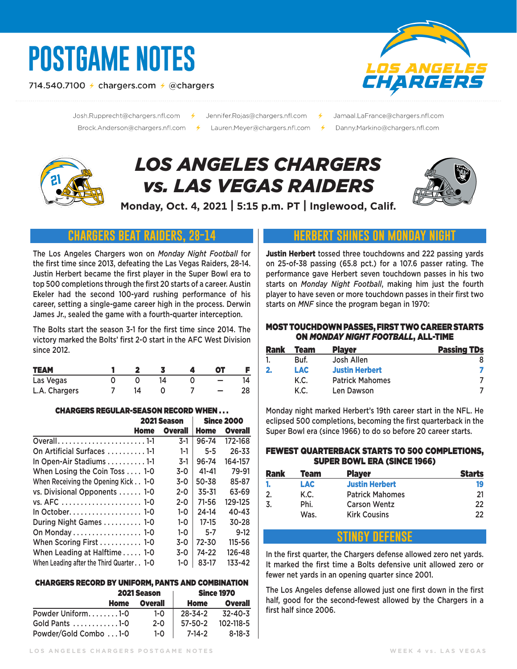# **POSTGAME NOTES**

714.540.7100  $\neq$  chargers.com  $\neq$  @chargers



Josh.Rupprecht@chargers.nfl.com 

- Jennifer.Rojas@chargers.nfl.com
- Jamaal.LaFrance@chargers.nfl.com
- Danny.Markino@chargers.nfl.com

# *LOS ANGELES CHARGERS vs. LAS VEGAS RAIDERS*



**Monday, Oct. 4, 2021 | 5:15 p.m. PT | Inglewood, Calif.**

# **chargers beat raiders, 28-14**

The Los Angeles Chargers won on *Monday Night Football* for the first time since 2013, defeating the Las Vegas Raiders, 28-14. Justin Herbert became the first player in the Super Bowl era to top 500 completions through the first 20 starts of a career. Austin Ekeler had the second 100-yard rushing performance of his career, setting a single-game career high in the process. Derwin James Jr., sealed the game with a fourth-quarter interception.

The Bolts start the season 3-1 for the first time since 2014. The victory marked the Bolts' first 2-0 start in the AFC West Division since 2012.

| <b>TEAM</b>   |  |  | nт |    |
|---------------|--|--|----|----|
| Las Vegas     |  |  |    |    |
| L.A. Chargers |  |  |    | 28 |

#### CHARGERS REGULAR-SEASON RECORD WHEN . . .

|                                             | 2021 Season    |             | <b>Since 2000</b> |
|---------------------------------------------|----------------|-------------|-------------------|
| Home                                        | <b>Overall</b> | <b>Home</b> | <b>Overall</b>    |
| Overall1-1                                  | $3-1$          | 96-74       | 172-168           |
| On Artificial Surfaces 1-1                  | $1 - 1$        | $5 - 5$     | $26 - 33$         |
| In Open-Air Stadiums 1-1                    | $3-1$          | 96-74       | 164-157           |
| When Losing the Coin Toss 1-0               | $3-0$          | $41 - 41$   | 79-91             |
| When Receiving the Opening Kick 1-0         | $3-0$          | 50-38       | 85-87             |
| vs. Divisional Opponents  1-0               | $2 - 0$        | $35 - 31$   | 63-69             |
|                                             | $2 - 0$        | $71 - 56$   | 129-125           |
|                                             | $1 - 0$        | 24-14       | $40 - 43$         |
| During Night Games  1-0                     | $1 - 0$        | $17 - 15$   | $30 - 28$         |
| On Monday 1-0                               | $1 - 0$        | $5 - 7$     | $9-12$            |
| When Scoring First  1-0                     | $3 - 0$        | 72-30       | $115 - 56$        |
| When Leading at Halftime 1-0                | $3-0$          | 74-22       | 126-48            |
| When Leading after the Third Quarter. . 1-O | $1 - 0$        | 83-17       | 133-42            |

#### CHARGERS RECORD BY UNIFORM, PANTS AND COMBINATION

|                       | <b>2021 Season</b> |         | <b>Since 1970</b> |
|-----------------------|--------------------|---------|-------------------|
| Home                  | <b>Overall</b>     | Home    | Overall           |
| Powder Uniform1-0     | 1-0                | 28-34-2 | 32-40-3           |
| Gold Pants 1-0        | $2 - 0$            | 57-50-2 | 102-118-5         |
| Powder/Gold Combo 1-0 | $1-0$              | 7-14-2  | 8-18-3            |

# **herbert shines on monday night**

Justin Herbert tossed three touchdowns and 222 passing yards on 25-of-38 passing (65.8 pct.) for a 107.6 passer rating. The performance gave Herbert seven touchdown passes in his two starts on *Monday Night Football*, making him just the fourth player to have seven or more touchdown passes in their first two starts on *MNF* since the program began in 1970:

#### MOST TOUCHDOWN PASSES, FIRST TWO CAREER STARTS ON *MONDAY NIGHT FOOTBALL*, ALL-TIME

| <b>Rank</b> | Team       | <b>Player</b>          | <b>Passing TDs</b> |
|-------------|------------|------------------------|--------------------|
|             | Buf.       | Josh Allen             |                    |
| 2.          | <b>LAC</b> | <b>Justin Herbert</b>  |                    |
|             | K.C.       | <b>Patrick Mahomes</b> |                    |
|             | K.C.       | Len Dawson             |                    |

Monday night marked Herbert's 19th career start in the NFL. He eclipsed 500 completions, becoming the first quarterback in the Super Bowl era (since 1966) to do so before 20 career starts.

#### FEWEST QUARTERBACK STARTS TO 500 COMPLETIONS, SUPER BOWL ERA (SINCE 1966)

| <b>Rank</b> | Team | <b>Player</b>          | <b>Starts</b> |
|-------------|------|------------------------|---------------|
|             | LAC. | <b>Justin Herbert</b>  | 19            |
| 2.          | K.C. | <b>Patrick Mahomes</b> | 21            |
|             | Phi. | <b>Carson Wentz</b>    | 22            |
|             | Was. | <b>Kirk Cousins</b>    | 22            |

# **stingy defense**

In the first quarter, the Chargers defense allowed zero net yards. It marked the first time a Bolts defensive unit allowed zero or fewer net yards in an opening quarter since 2001.

The Los Angeles defense allowed just one first down in the first half, good for the second-fewest allowed by the Chargers in a first half since 2006.